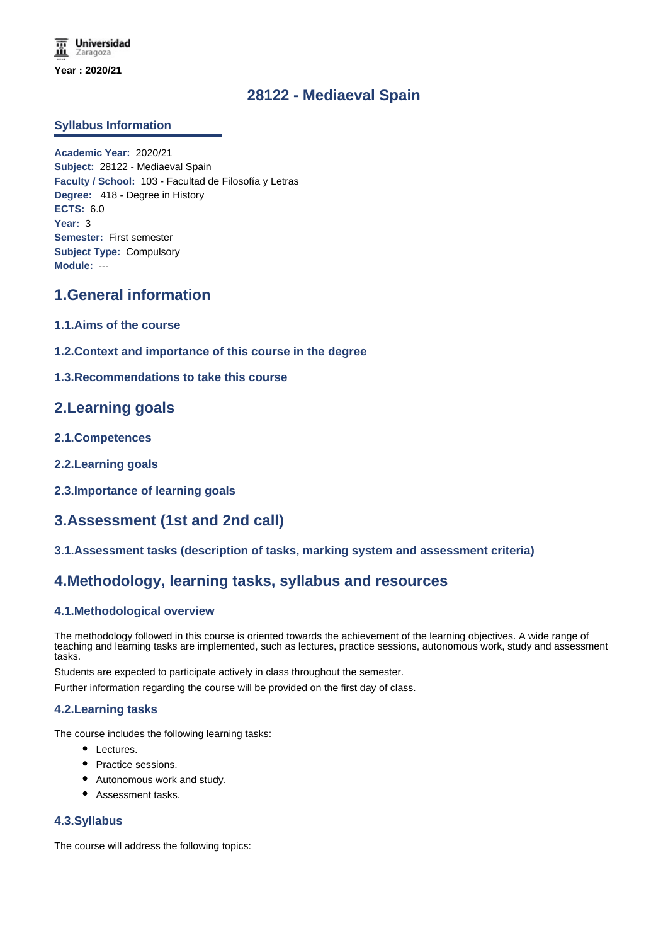# **28122 - Mediaeval Spain**

## **Syllabus Information**

**Academic Year:** 2020/21 **Subject:** 28122 - Mediaeval Spain **Faculty / School:** 103 - Facultad de Filosofía y Letras **Degree:** 418 - Degree in History **ECTS:** 6.0 **Year:** 3 **Semester:** First semester **Subject Type:** Compulsory **Module:** ---

# **1.General information**

- **1.1.Aims of the course**
- **1.2.Context and importance of this course in the degree**
- **1.3.Recommendations to take this course**

## **2.Learning goals**

- **2.1.Competences**
- **2.2.Learning goals**
- **2.3.Importance of learning goals**

# **3.Assessment (1st and 2nd call)**

**3.1.Assessment tasks (description of tasks, marking system and assessment criteria)**

## **4.Methodology, learning tasks, syllabus and resources**

## **4.1.Methodological overview**

The methodology followed in this course is oriented towards the achievement of the learning objectives. A wide range of teaching and learning tasks are implemented, such as lectures, practice sessions, autonomous work, study and assessment tasks.

Students are expected to participate actively in class throughout the semester.

Further information regarding the course will be provided on the first day of class.

### **4.2.Learning tasks**

The course includes the following learning tasks:

- Lectures.
- Practice sessions.
- Autonomous work and study.
- Assessment tasks.

### **4.3.Syllabus**

The course will address the following topics: